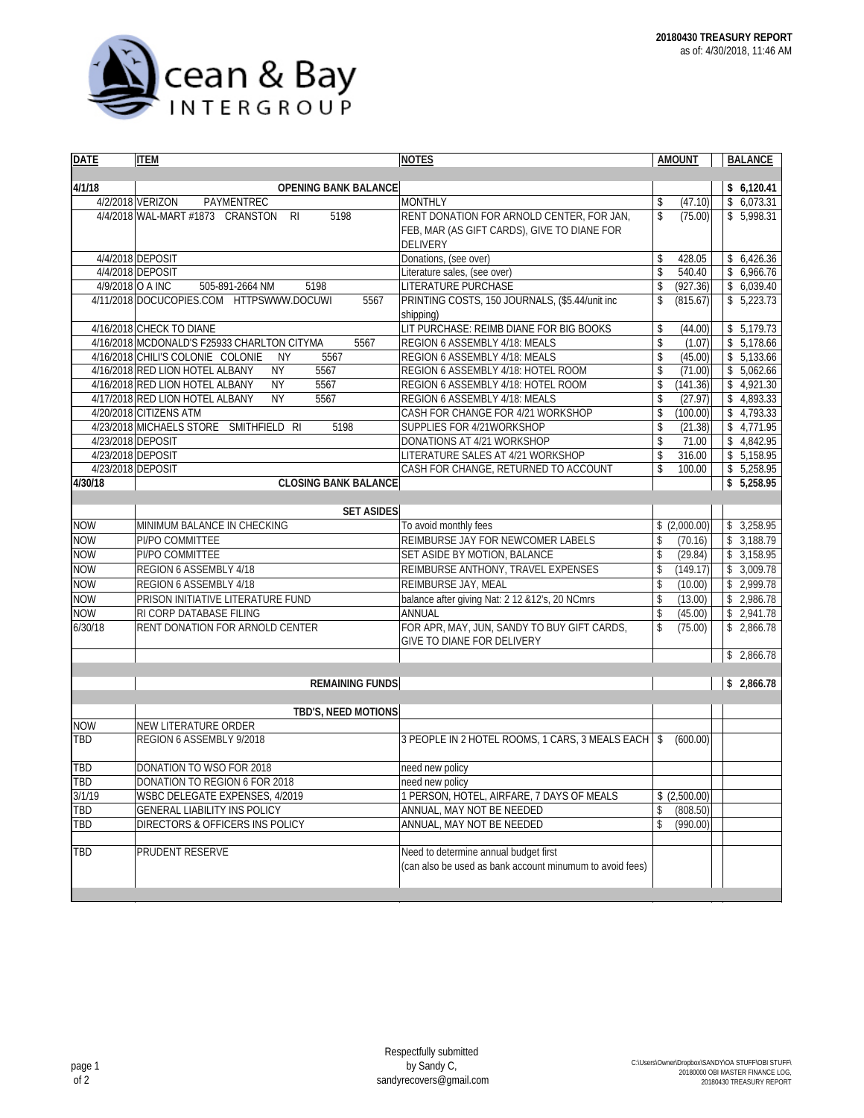

| <b>DATE</b>       | <b>ITEM</b>                                            | <b>NOTES</b>                                             | <b>AMOUNT</b>                 | <b>BALANCE</b>    |
|-------------------|--------------------------------------------------------|----------------------------------------------------------|-------------------------------|-------------------|
|                   |                                                        |                                                          |                               |                   |
| 4/1/18            | OPENING BANK BALANCE                                   |                                                          |                               | \$6,120.41        |
|                   | 4/2/2018 VERIZON<br>PAYMENTREC                         | <b>MONTHLY</b>                                           | (47.10)<br>\$                 | \$6,073.31        |
|                   | 5198<br>4/4/2018 WAL-MART #1873 CRANSTON<br><b>RI</b>  | RENT DONATION FOR ARNOLD CENTER, FOR JAN,                | $\mathbf{\hat{S}}$<br>(75.00) | \$5,998.31        |
|                   |                                                        | FEB, MAR (AS GIFT CARDS), GIVE TO DIANE FOR              |                               |                   |
|                   |                                                        | <b>DELIVERY</b>                                          |                               |                   |
|                   | 4/4/2018 DEPOSIT                                       | Donations, (see over)                                    | \$<br>428.05                  | \$6,426.36        |
|                   | 4/4/2018 DEPOSIT                                       | Literature sales, (see over)                             | \$<br>540.40                  | \$6,966.76        |
| 4/9/2018 O A INC  | 505-891-2664 NM<br>5198                                | LITERATURE PURCHASE                                      | \$<br>(927.36)                | \$6,039.40        |
|                   | 4/11/2018 DOCUCOPIES.COM HTTPSWWW.DOCUWI<br>5567       | PRINTING COSTS, 150 JOURNALS, (\$5.44/unit inc           | \$<br>(815.67)                | \$5,223.73        |
|                   |                                                        | shipping)                                                |                               |                   |
|                   | 4/16/2018 CHECK TO DIANE                               | LIT PURCHASE: REIMB DIANE FOR BIG BOOKS                  | \$<br>(44.00)                 | \$5,179.73        |
|                   | 4/16/2018 MCDONALD'S F25933 CHARLTON CITYMA<br>5567    | REGION 6 ASSEMBLY 4/18: MEALS                            | \$<br>(1.07)                  | $\sqrt{5,178.66}$ |
|                   | 4/16/2018 CHILI'S COLONIE COLONIE<br><b>NY</b><br>5567 | REGION 6 ASSEMBLY 4/18: MEALS                            | \$<br>(45.00)                 | \$5,133.66        |
|                   | 4/16/2018 RED LION HOTEL ALBANY<br>5567<br><b>NY</b>   | REGION 6 ASSEMBLY 4/18: HOTEL ROOM                       | \$<br>(71.00)                 | \$5,062.66        |
|                   | 4/16/2018 RED LION HOTEL ALBANY<br><b>NY</b><br>5567   | REGION 6 ASSEMBLY 4/18: HOTEL ROOM                       | \$<br>(141.36)                | \$4,921.30        |
|                   | 4/17/2018 RED LION HOTEL ALBANY<br>5567<br><b>NY</b>   | REGION 6 ASSEMBLY 4/18: MEALS                            | \$<br>(27.97)                 | \$4,893.33        |
|                   | 4/20/2018 CITIZENS ATM                                 | CASH FOR CHANGE FOR 4/21 WORKSHOP                        | \$<br>(100.00)                | \$4,793.33        |
|                   | 4/23/2018 MICHAELS STORE SMITHFIELD RI<br>5198         | SUPPLIES FOR 4/21WORKSHOP                                | \$<br>(21.38)                 | \$4,771.95        |
| 4/23/2018 DEPOSIT |                                                        | DONATIONS AT 4/21 WORKSHOP                               | \$<br>71.00                   | \$4,842.95        |
| 4/23/2018 DEPOSIT |                                                        | LITERATURE SALES AT 4/21 WORKSHOP                        | \$<br>316.00                  | \$5,158.95        |
| 4/23/2018 DEPOSIT |                                                        | CASH FOR CHANGE, RETURNED TO ACCOUNT                     | \$<br>100.00                  | \$5,258.95        |
| 4/30/18           | <b>CLOSING BANK BALANCE</b>                            |                                                          |                               | \$5,258.95        |
|                   |                                                        |                                                          |                               |                   |
|                   | <b>SET ASIDES</b>                                      |                                                          |                               |                   |
| <b>NOW</b>        | MINIMUM BALANCE IN CHECKING                            | To avoid monthly fees                                    | \$(2,000.00)                  | \$3,258.95        |
| <b>NOW</b>        | PI/PO COMMITTEE                                        | REIMBURSE JAY FOR NEWCOMER LABELS                        | \$<br>(70.16)                 | \$3,188.79        |
| <b>NOW</b>        | PI/PO COMMITTEE                                        | SET ASIDE BY MOTION, BALANCE                             | \$<br>(29.84)                 | \$3,158.95        |
| <b>NOW</b>        | REGION 6 ASSEMBLY 4/18                                 | REIMBURSE ANTHONY, TRAVEL EXPENSES                       | \$<br>(149.17)                | \$3,009.78        |
| <b>NOW</b>        | REGION 6 ASSEMBLY 4/18                                 | REIMBURSE JAY, MEAL                                      | \$<br>(10.00)                 | \$2,999.78        |
| <b>NOW</b>        | PRISON INITIATIVE LITERATURE FUND                      | balance after giving Nat: 2 12 & 12's, 20 NCmrs          | \$<br>(13.00)                 | \$2,986.78        |
| <b>NOW</b>        | RI CORP DATABASE FILING                                | ANNUAL                                                   | \$<br>(45.00)                 | \$2,941.78        |
| 6/30/18           | RENT DONATION FOR ARNOLD CENTER                        | FOR APR, MAY, JUN, SANDY TO BUY GIFT CARDS,              | \$<br>(75.00)                 | \$2,866.78        |
|                   |                                                        | GIVE TO DIANE FOR DELIVERY                               |                               |                   |
|                   |                                                        |                                                          |                               | \$2,866.78        |
|                   |                                                        |                                                          |                               |                   |
|                   | <b>REMAINING FUNDS</b>                                 |                                                          | \$2,866.78                    |                   |
|                   |                                                        |                                                          |                               |                   |
|                   | TBD'S, NEED MOTIONS                                    |                                                          |                               |                   |
| <b>NOW</b>        | NEW LITERATURE ORDER                                   |                                                          |                               |                   |
| TBD               | REGION 6 ASSEMBLY 9/2018                               | 3 PEOPLE IN 2 HOTEL ROOMS, 1 CARS, 3 MEALS EACH          | (600.00)<br>\$                |                   |
|                   |                                                        |                                                          |                               |                   |
| TBD               | DONATION TO WSO FOR 2018                               | need new policy                                          |                               |                   |
| <b>TBD</b>        | DONATION TO REGION 6 FOR 2018                          | need new policy                                          |                               |                   |
| 3/1/19            | WSBC DELEGATE EXPENSES, 4/2019                         | 1 PERSON, HOTEL, AIRFARE, 7 DAYS OF MEALS                | \$(2,500.00)                  |                   |
| TBD               | <b>GENERAL LIABILITY INS POLICY</b>                    | ANNUAL, MAY NOT BE NEEDED                                | \$<br>(808.50)                |                   |
| TBD               | <b>DIRECTORS &amp; OFFICERS INS POLICY</b>             | ANNUAL, MAY NOT BE NEEDED                                | \$<br>(990.00)                |                   |
|                   |                                                        |                                                          |                               |                   |
| TBD               | PRUDENT RESERVE                                        | Need to determine annual budget first                    |                               |                   |
|                   |                                                        | (can also be used as bank account minumum to avoid fees) |                               |                   |
|                   |                                                        |                                                          |                               |                   |
|                   |                                                        |                                                          |                               |                   |